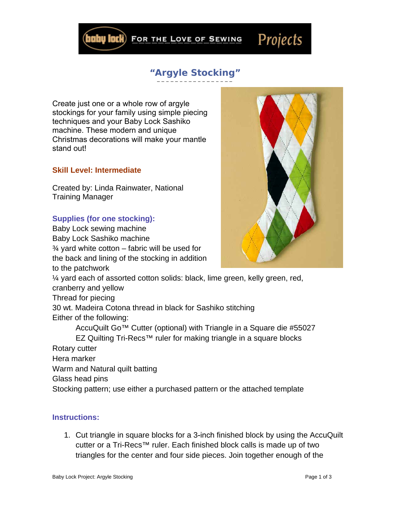FOR THE LOVE OF SEWING

## **"Argyle Stocking"**

Create just one or a whole row of argyle stockings for your family using simple piecing techniques and your Baby Lock Sashiko machine. These modern and unique Christmas decorations will make your mantle stand out!

## **Skill Level: Intermediate**

Created by: Linda Rainwater, National Training Manager

## **Supplies (for one stocking):**

Baby Lock sewing machine Baby Lock Sashiko machine  $\frac{3}{4}$  yard white cotton – fabric will be used for the back and lining of the stocking in addition to the patchwork ¼ yard each of assorted cotton solids: black, lime green, kelly green, red, cranberry and yellow Thread for piecing 30 wt. Madeira Cotona thread in black for Sashiko stitching Either of the following: AccuQuilt Go™ Cutter (optional) with Triangle in a Square die #55027 EZ Quilting Tri-Recs™ ruler for making triangle in a square blocks Rotary cutter

Hera marker Warm and Natural quilt batting Glass head pins Stocking pattern; use either a purchased pattern or the attached template

## **Instructions:**

1. Cut triangle in square blocks for a 3-inch finished block by using the AccuQuilt cutter or a Tri-Recs™ ruler. Each finished block calls is made up of two triangles for the center and four side pieces. Join together enough of the





Projects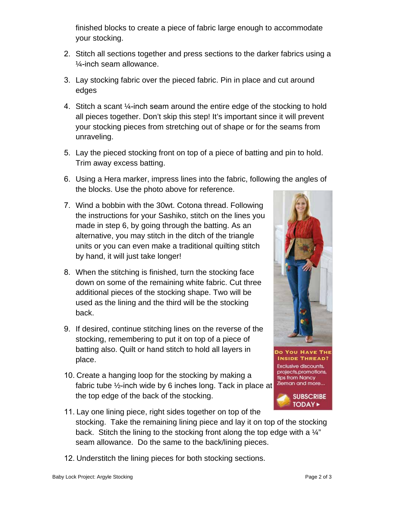finished blocks to create a piece of fabric large enough to accommodate your stocking.

- 2. Stitch all sections together and press sections to the darker fabrics using a ¼-inch seam allowance.
- 3. Lay stocking fabric over the pieced fabric. Pin in place and cut around edges
- 4. Stitch a scant ¼-inch seam around the entire edge of the stocking to hold all pieces together. Don't skip this step! It's important since it will prevent your stocking pieces from stretching out of shape or for the seams from unraveling.
- 5. Lay the pieced stocking front on top of a piece of batting and pin to hold. Trim away excess batting.
- 6. Using a Hera marker, impress lines into the fabric, following the angles of the blocks. Use the photo above for reference.
- 7. Wind a bobbin with the 30wt. Cotona thread. Following the instructions for your Sashiko, stitch on the lines you made in step 6, by going through the batting. As an alternative, you may stitch in the ditch of the triangle units or you can even make a traditional quilting stitch by hand, it will just take longer!
- 8. When the stitching is finished, turn the stocking face down on some of the remaining white fabric. Cut three additional pieces of the stocking shape. Two will be used as the lining and the third will be the stocking back.
- 9. If desired, continue stitching lines on the reverse of the stocking, remembering to put it on top of a piece of batting also. Quilt or hand stitch to hold all layers in place.
- 10. Create a hanging loop for the stocking by making a fabric tube ½-inch wide by 6 inches long. Tack in place at the top edge of the back of the stocking.



**DO YOU HAVE THE INSIDE THREAD?** Exclusive discounts, projects, promotions, tips from Nancy Zieman and more...



- 11. Lay one lining piece, right sides together on top of the stocking. Take the remaining lining piece and lay it on top of the stocking back. Stitch the lining to the stocking front along the top edge with a  $\frac{1}{4}$ " seam allowance. Do the same to the back/lining pieces.
- 12. Understitch the lining pieces for both stocking sections.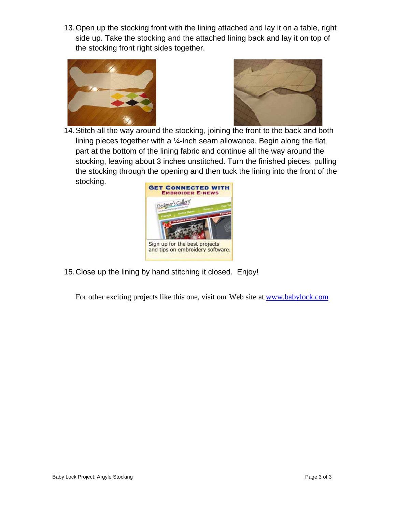13. Open up the stocking front with the lining attached and lay it on a table, right side up. Take the stocking and the attached lining back and lay it on top of the stocking front right sides together.





14. Stitch all the way around the stocking, joining the front to the back and both lining pieces together with a  $\frac{1}{4}$ -inch seam allowance. Begin along the flat part at the bottom of the lining fabric and continue all the way around the stocking, leaving about 3 inches unstitched. Turn the finished pieces, pulling the stocking through the opening and then tuck the lining into the front of the stocking.



15. Close up the lining by hand stitching it closed. Enjoy!

For other exciting projects like this one, visit our Web site at [www.babylock.com](http://www.babylock.com/)